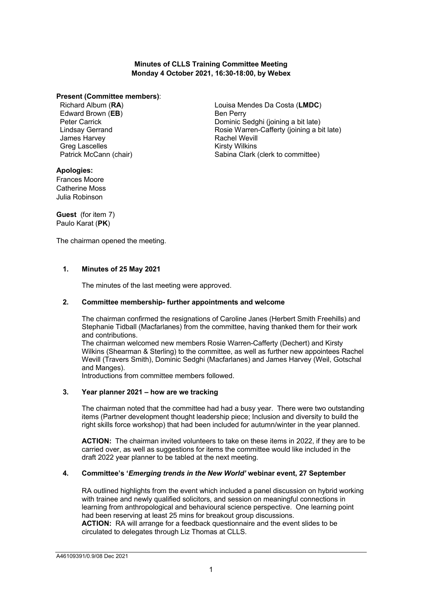## **Minutes of CLLS Training Committee Meeting Monday 4 October 2021, 16:30-18:00, by Webex**

#### **Present (Committee members)**:

Richard Album (**RA**) Edward Brown (**EB**) Peter Carrick Lindsay Gerrand James Harvey Greg Lascelles Patrick McCann (chair) Louisa Mendes Da Costa (**LMDC**) Ben Perry Dominic Sedghi (joining a bit late) Rosie Warren-Cafferty (joining a bit late) Rachel Wevill Kirsty Wilkins Sabina Clark (clerk to committee)

# **Apologies:**

Frances Moore Catherine Moss Julia Robinson

**Guest** (for item 7) Paulo Karat (**PK**)

The chairman opened the meeting.

# **1. Minutes of 25 May 2021**

The minutes of the last meeting were approved.

## **2. Committee membership- further appointments and welcome**

The chairman confirmed the resignations of Caroline Janes (Herbert Smith Freehills) and Stephanie Tidball (Macfarlanes) from the committee, having thanked them for their work and contributions.

The chairman welcomed new members Rosie Warren-Cafferty (Dechert) and Kirsty Wilkins (Shearman & Sterling) to the committee, as well as further new appointees Rachel Wevill (Travers Smith), Dominic Sedghi (Macfarlanes) and James Harvey (Weil, Gotschal and Manges).

Introductions from committee members followed.

### **3. Year planner 2021 – how are we tracking**

The chairman noted that the committee had had a busy year. There were two outstanding items (Partner development thought leadership piece; Inclusion and diversity to build the right skills force workshop) that had been included for autumn/winter in the year planned.

**ACTION:** The chairman invited volunteers to take on these items in 2022, if they are to be carried over, as well as suggestions for items the committee would like included in the draft 2022 year planner to be tabled at the next meeting.

### **4. Committee's '***Emerging trends in the New World'* **webinar event, 27 September**

RA outlined highlights from the event which included a panel discussion on hybrid working with trainee and newly qualified solicitors, and session on meaningful connections in learning from anthropological and behavioural science perspective. One learning point had been reserving at least 25 mins for breakout group discussions. **ACTION:** RA will arrange for a feedback questionnaire and the event slides to be circulated to delegates through Liz Thomas at CLLS.